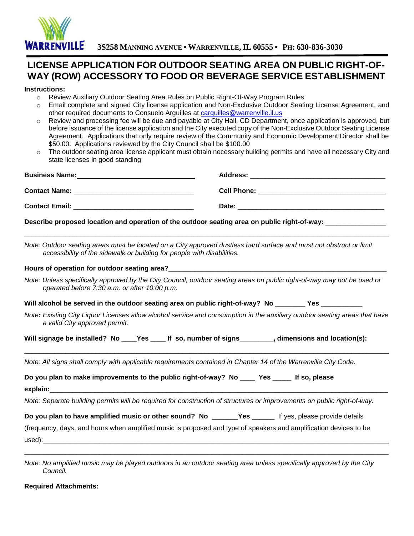

## **LICENSE APPLICATION FOR OUTDOOR SEATING AREA ON PUBLIC RIGHT-OF-WAY (ROW) ACCESSORY TO FOOD OR BEVERAGE SERVICE ESTABLISHMENT**

## **Instructions:**

- o Review Auxiliary Outdoor Seating Area Rules on Public Right-Of-Way Program Rules
- o Email complete and signed City license application and Non-Exclusive Outdoor Seating License Agreement, and other required documents to Consuelo Arguilles at [carguilles@warrenville.il.us](mailto:carguilles@warrenville.il.us)
- o Review and processing fee will be due and payable at City Hall, CD Department, once application is approved, but before issuance of the license application and the City executed copy of the Non-Exclusive Outdoor Seating License Agreement. Applications that only require review of the Community and Economic Development Director shall be \$50.00. Applications reviewed by the City Council shall be \$100.00
- o The outdoor seating area license applicant must obtain necessary building permits and have all necessary City and state licenses in good standing

| Business Name: Mannel Management Communication of the Business Name:                           |                                                                                                                            |  |
|------------------------------------------------------------------------------------------------|----------------------------------------------------------------------------------------------------------------------------|--|
|                                                                                                |                                                                                                                            |  |
|                                                                                                |                                                                                                                            |  |
|                                                                                                | Describe proposed location and operation of the outdoor seating area on public right-of-way: ________________              |  |
| accessibility of the sidewalk or building for people with disabilities.                        | Note: Outdoor seating areas must be located on a City approved dustless hard surface and must not obstruct or limit        |  |
|                                                                                                |                                                                                                                            |  |
| operated before 7:30 a.m. or after 10:00 p.m.                                                  | Note: Unless specifically approved by the City Council, outdoor seating areas on public right-of-way may not be used or    |  |
|                                                                                                | Will alcohol be served in the outdoor seating area on public right-of-way? No ________ Yes _________                       |  |
| a valid City approved permit.                                                                  | Note: Existing City Liquor Licenses allow alcohol service and consumption in the auxiliary outdoor seating areas that have |  |
|                                                                                                | Will signage be installed? No ____Yes _____ If so, number of signs _________, dimensions and location(s):                  |  |
|                                                                                                | Note: All signs shall comply with applicable requirements contained in Chapter 14 of the Warrenville City Code.            |  |
| Do you plan to make improvements to the public right-of-way? No _____ Yes ______ If so, please |                                                                                                                            |  |
|                                                                                                | Note: Separate building permits will be required for construction of structures or improvements on public right-of-way.    |  |
|                                                                                                | Do you plan to have amplified music or other sound? No _______Yes ______ If yes, please provide details                    |  |
|                                                                                                | (frequency, days, and hours when amplified music is proposed and type of speakers and amplification devices to be          |  |
|                                                                                                | Note: No amplified music may be played outdoors in an outdoor seating area unless specifically approved by the City        |  |

*Note: No amplified music may be played outdoors in an outdoor seating area unless specifically approved by the City Council.* 

**Required Attachments:**